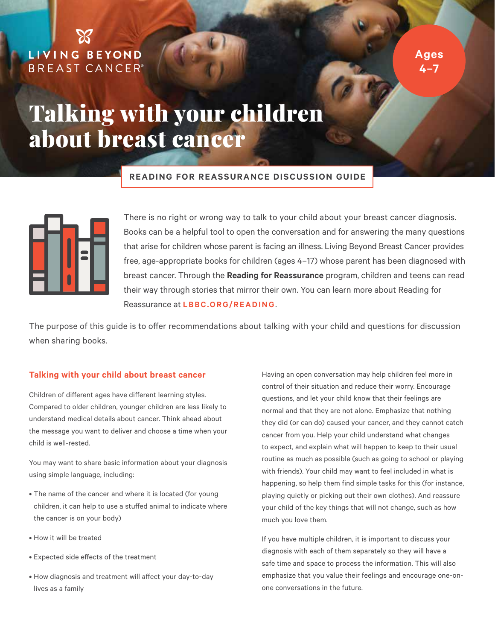# LIVING BEYOND **BREAST CANCER®**

**Ages 4–7**

# Talking with your children about breast cancer

### **READING FOR REASSURANCE DISCUSSION GUIDE**



There is no right or wrong way to talk to your child about your breast cancer diagnosis. Books can be a helpful tool to open the conversation and for answering the many questions that arise for children whose parent is facing an illness. Living Beyond Breast Cancer provides free, age-appropriate books for children (ages 4–17) whose parent has been diagnosed with breast cancer. Through the **Reading for Reassurance** program, children and teens can read their way through stories that mirror their own. You can learn more about Reading for Reassurance at **[LBBC.ORG/READING](http://lbbc.Org/reading)**.

The purpose of this guide is to offer recommendations about talking with your child and questions for discussion when sharing books.

### **Talking with your child about breast cancer**

Children of different ages have different learning styles. Compared to older children, younger children are less likely to understand medical details about cancer. Think ahead about the message you want to deliver and choose a time when your child is well-rested.

You may want to share basic information about your diagnosis using simple language, including:

- The name of the cancer and where it is located (for young children, it can help to use a stuffed animal to indicate where the cancer is on your body)
- How it will be treated
- Expected side effects of the treatment
- How diagnosis and treatment will affect your day-to-day lives as a family

Having an open conversation may help children feel more in control of their situation and reduce their worry. Encourage questions, and let your child know that their feelings are normal and that they are not alone. Emphasize that nothing they did (or can do) caused your cancer, and they cannot catch cancer from you. Help your child understand what changes to expect, and explain what will happen to keep to their usual routine as much as possible (such as going to school or playing with friends). Your child may want to feel included in what is happening, so help them find simple tasks for this (for instance, playing quietly or picking out their own clothes). And reassure your child of the key things that will not change, such as how much you love them.

If you have multiple children, it is important to discuss your diagnosis with each of them separately so they will have a safe time and space to process the information. This will also emphasize that you value their feelings and encourage one-onone conversations in the future.